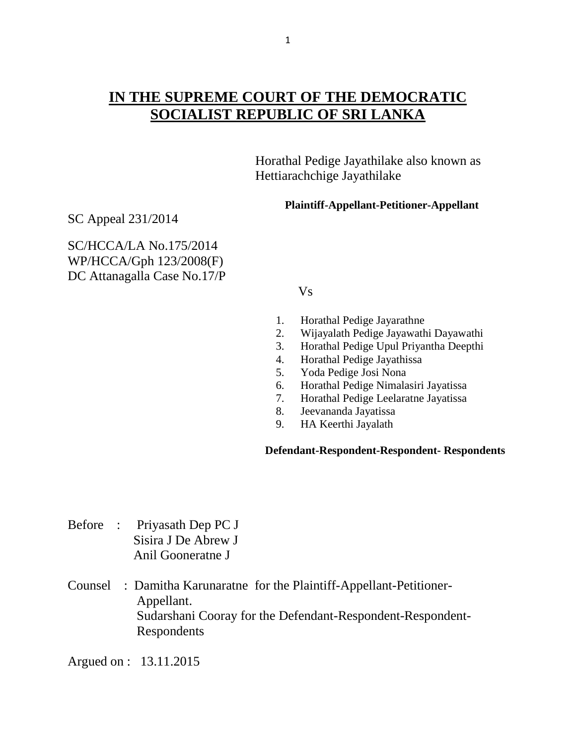## **IN THE SUPREME COURT OF THE DEMOCRATIC SOCIALIST REPUBLIC OF SRI LANKA**

 Horathal Pedige Jayathilake also known as Hettiarachchige Jayathilake

**Plaintiff-Appellant-Petitioner-Appellant**

SC Appeal 231/2014

SC/HCCA/LA No.175/2014 WP/HCCA/Gph 123/2008(F) DC Attanagalla Case No.17/P

Vs

- 1. Horathal Pedige Jayarathne
- 2. Wijayalath Pedige Jayawathi Dayawathi
- 3. Horathal Pedige Upul Priyantha Deepthi
- 4. Horathal Pedige Jayathissa
- 5. Yoda Pedige Josi Nona
- 6. Horathal Pedige Nimalasiri Jayatissa
- 7. Horathal Pedige Leelaratne Jayatissa
- 8. Jeevananda Jayatissa
- 9. HA Keerthi Jayalath

## **Defendant-Respondent-Respondent- Respondents**

- Before : Priyasath Dep PC J Sisira J De Abrew J Anil Gooneratne J
- Counsel : Damitha Karunaratne for the Plaintiff-Appellant-Petitioner- Appellant. Sudarshani Cooray for the Defendant-Respondent-Respondent- Respondents

Argued on : 13.11.2015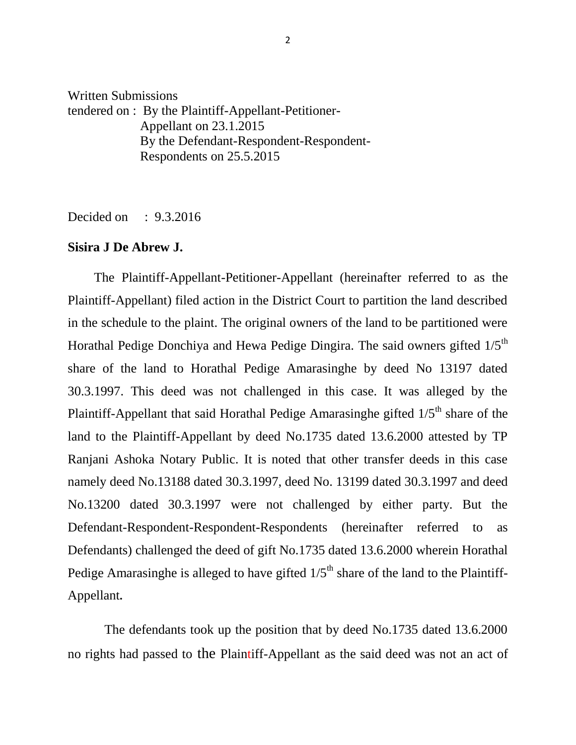Written Submissions tendered on : By the Plaintiff-Appellant-Petitioner- Appellant on 23.1.2015 By the Defendant-Respondent-Respondent- Respondents on 25.5.2015

Decided on : 9.3.2016

## **Sisira J De Abrew J.**

 The Plaintiff-Appellant-Petitioner-Appellant (hereinafter referred to as the Plaintiff-Appellant) filed action in the District Court to partition the land described in the schedule to the plaint. The original owners of the land to be partitioned were Horathal Pedige Donchiya and Hewa Pedige Dingira. The said owners gifted  $1/5<sup>th</sup>$ share of the land to Horathal Pedige Amarasinghe by deed No 13197 dated 30.3.1997. This deed was not challenged in this case. It was alleged by the Plaintiff-Appellant that said Horathal Pedige Amarasinghe gifted  $1/5<sup>th</sup>$  share of the land to the Plaintiff-Appellant by deed No.1735 dated 13.6.2000 attested by TP Ranjani Ashoka Notary Public. It is noted that other transfer deeds in this case namely deed No.13188 dated 30.3.1997, deed No. 13199 dated 30.3.1997 and deed No.13200 dated 30.3.1997 were not challenged by either party. But the Defendant-Respondent-Respondent-Respondents (hereinafter referred to as Defendants) challenged the deed of gift No.1735 dated 13.6.2000 wherein Horathal Pedige Amarasinghe is alleged to have gifted  $1/5<sup>th</sup>$  share of the land to the Plaintiff-Appellant**.** 

The defendants took up the position that by deed No.1735 dated 13.6.2000 no rights had passed to the Plaintiff-Appellant as the said deed was not an act of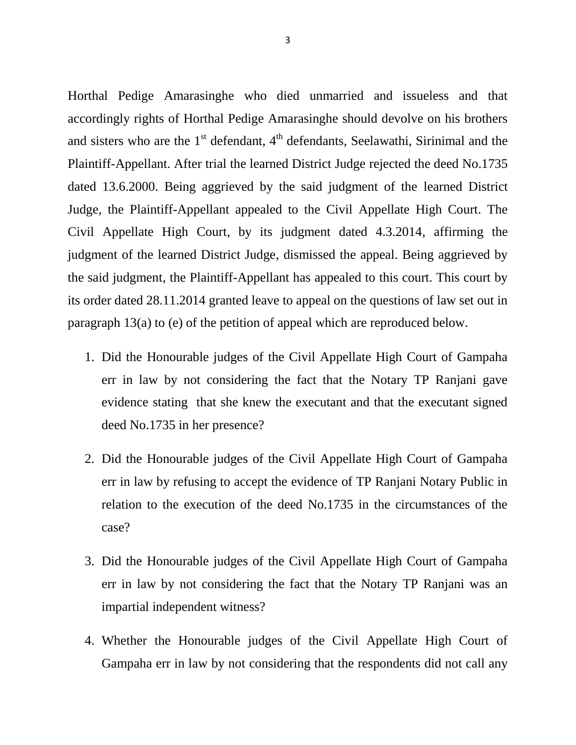Horthal Pedige Amarasinghe who died unmarried and issueless and that accordingly rights of Horthal Pedige Amarasinghe should devolve on his brothers and sisters who are the  $1<sup>st</sup>$  defendant,  $4<sup>th</sup>$  defendants, Seelawathi, Sirinimal and the Plaintiff-Appellant. After trial the learned District Judge rejected the deed No.1735 dated 13.6.2000. Being aggrieved by the said judgment of the learned District Judge, the Plaintiff-Appellant appealed to the Civil Appellate High Court. The Civil Appellate High Court, by its judgment dated 4.3.2014, affirming the judgment of the learned District Judge, dismissed the appeal. Being aggrieved by the said judgment, the Plaintiff-Appellant has appealed to this court. This court by its order dated 28.11.2014 granted leave to appeal on the questions of law set out in paragraph 13(a) to (e) of the petition of appeal which are reproduced below.

- 1. Did the Honourable judges of the Civil Appellate High Court of Gampaha err in law by not considering the fact that the Notary TP Ranjani gave evidence stating that she knew the executant and that the executant signed deed No.1735 in her presence?
- 2. Did the Honourable judges of the Civil Appellate High Court of Gampaha err in law by refusing to accept the evidence of TP Ranjani Notary Public in relation to the execution of the deed No.1735 in the circumstances of the case?
- 3. Did the Honourable judges of the Civil Appellate High Court of Gampaha err in law by not considering the fact that the Notary TP Ranjani was an impartial independent witness?
- 4. Whether the Honourable judges of the Civil Appellate High Court of Gampaha err in law by not considering that the respondents did not call any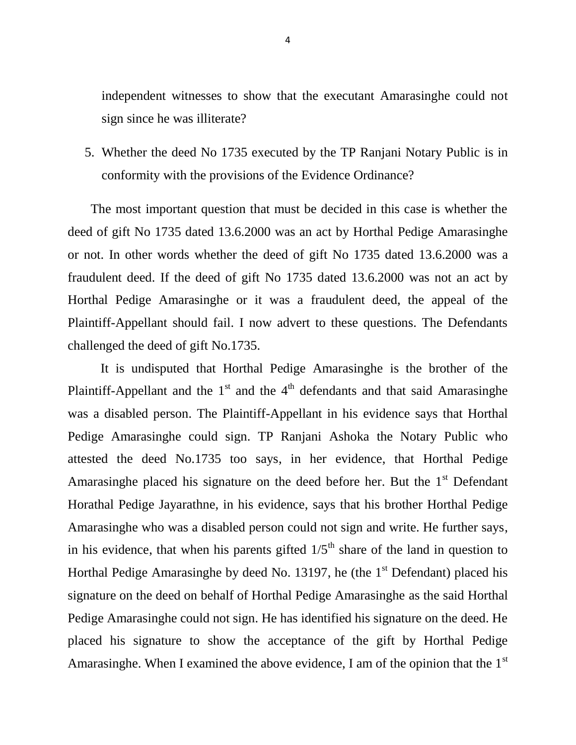independent witnesses to show that the executant Amarasinghe could not sign since he was illiterate?

5. Whether the deed No 1735 executed by the TP Ranjani Notary Public is in conformity with the provisions of the Evidence Ordinance?

 The most important question that must be decided in this case is whether the deed of gift No 1735 dated 13.6.2000 was an act by Horthal Pedige Amarasinghe or not. In other words whether the deed of gift No 1735 dated 13.6.2000 was a fraudulent deed. If the deed of gift No 1735 dated 13.6.2000 was not an act by Horthal Pedige Amarasinghe or it was a fraudulent deed, the appeal of the Plaintiff-Appellant should fail. I now advert to these questions. The Defendants challenged the deed of gift No.1735.

 It is undisputed that Horthal Pedige Amarasinghe is the brother of the Plaintiff-Appellant and the  $1<sup>st</sup>$  and the  $4<sup>th</sup>$  defendants and that said Amarasinghe was a disabled person. The Plaintiff-Appellant in his evidence says that Horthal Pedige Amarasinghe could sign. TP Ranjani Ashoka the Notary Public who attested the deed No.1735 too says, in her evidence, that Horthal Pedige Amarasinghe placed his signature on the deed before her. But the  $1<sup>st</sup>$  Defendant Horathal Pedige Jayarathne, in his evidence, says that his brother Horthal Pedige Amarasinghe who was a disabled person could not sign and write. He further says, in his evidence, that when his parents gifted  $1/5<sup>th</sup>$  share of the land in question to Horthal Pedige Amarasinghe by deed No. 13197, he (the  $1<sup>st</sup>$  Defendant) placed his signature on the deed on behalf of Horthal Pedige Amarasinghe as the said Horthal Pedige Amarasinghe could not sign. He has identified his signature on the deed. He placed his signature to show the acceptance of the gift by Horthal Pedige Amarasinghe. When I examined the above evidence, I am of the opinion that the 1<sup>st</sup>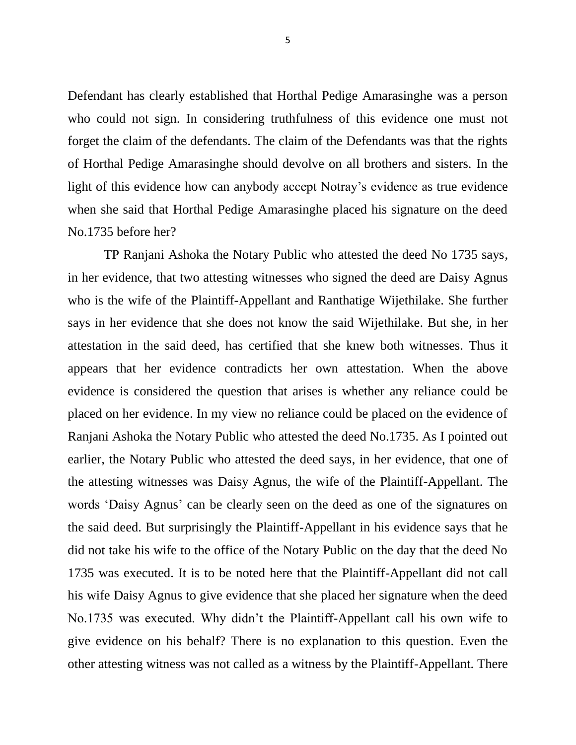Defendant has clearly established that Horthal Pedige Amarasinghe was a person who could not sign. In considering truthfulness of this evidence one must not forget the claim of the defendants. The claim of the Defendants was that the rights of Horthal Pedige Amarasinghe should devolve on all brothers and sisters. In the light of this evidence how can anybody accept Notray's evidence as true evidence when she said that Horthal Pedige Amarasinghe placed his signature on the deed No.1735 before her?

 TP Ranjani Ashoka the Notary Public who attested the deed No 1735 says, in her evidence, that two attesting witnesses who signed the deed are Daisy Agnus who is the wife of the Plaintiff-Appellant and Ranthatige Wijethilake. She further says in her evidence that she does not know the said Wijethilake. But she, in her attestation in the said deed, has certified that she knew both witnesses. Thus it appears that her evidence contradicts her own attestation. When the above evidence is considered the question that arises is whether any reliance could be placed on her evidence. In my view no reliance could be placed on the evidence of Ranjani Ashoka the Notary Public who attested the deed No.1735. As I pointed out earlier, the Notary Public who attested the deed says, in her evidence, that one of the attesting witnesses was Daisy Agnus, the wife of the Plaintiff-Appellant. The words 'Daisy Agnus' can be clearly seen on the deed as one of the signatures on the said deed. But surprisingly the Plaintiff-Appellant in his evidence says that he did not take his wife to the office of the Notary Public on the day that the deed No 1735 was executed. It is to be noted here that the Plaintiff-Appellant did not call his wife Daisy Agnus to give evidence that she placed her signature when the deed No.1735 was executed. Why didn"t the Plaintiff-Appellant call his own wife to give evidence on his behalf? There is no explanation to this question. Even the other attesting witness was not called as a witness by the Plaintiff-Appellant. There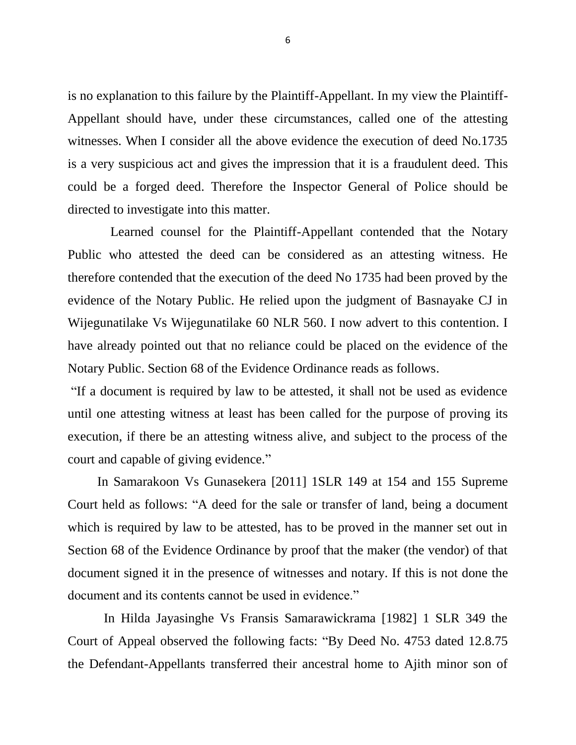is no explanation to this failure by the Plaintiff-Appellant. In my view the Plaintiff-Appellant should have, under these circumstances, called one of the attesting witnesses. When I consider all the above evidence the execution of deed No.1735 is a very suspicious act and gives the impression that it is a fraudulent deed. This could be a forged deed. Therefore the Inspector General of Police should be directed to investigate into this matter.

 Learned counsel for the Plaintiff-Appellant contended that the Notary Public who attested the deed can be considered as an attesting witness. He therefore contended that the execution of the deed No 1735 had been proved by the evidence of the Notary Public. He relied upon the judgment of Basnayake CJ in Wijegunatilake Vs Wijegunatilake 60 NLR 560. I now advert to this contention. I have already pointed out that no reliance could be placed on the evidence of the Notary Public. Section 68 of the Evidence Ordinance reads as follows.

"If a document is required by law to be attested, it shall not be used as evidence until one attesting witness at least has been called for the purpose of proving its execution, if there be an attesting witness alive, and subject to the process of the court and capable of giving evidence."

 In Samarakoon Vs Gunasekera [2011] 1SLR 149 at 154 and 155 Supreme Court held as follows: "A deed for the sale or transfer of land, being a document which is required by law to be attested, has to be proved in the manner set out in Section 68 of the Evidence Ordinance by proof that the maker (the vendor) of that document signed it in the presence of witnesses and notary. If this is not done the document and its contents cannot be used in evidence."

In Hilda Jayasinghe Vs Fransis Samarawickrama [1982] 1 SLR 349 the Court of Appeal observed the following facts: "By Deed No. 4753 dated 12.8.75 the Defendant-Appellants transferred their ancestral home to Ajith minor son of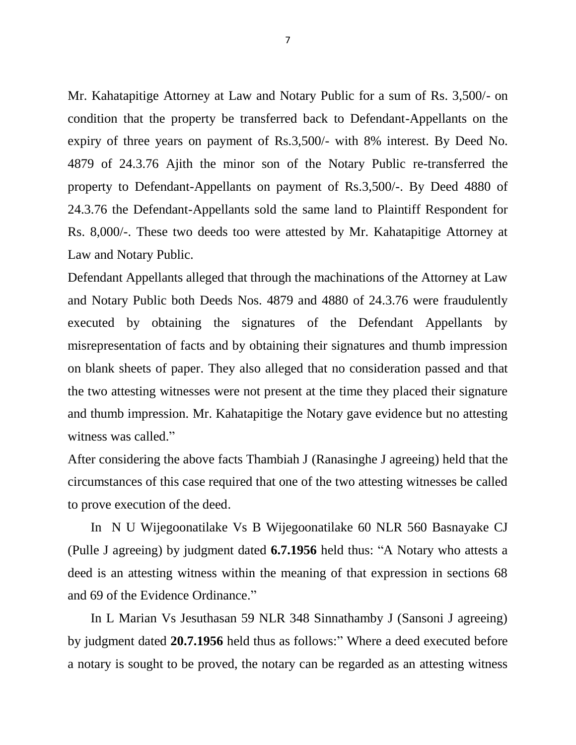Mr. Kahatapitige Attorney at Law and Notary Public for a sum of Rs. 3,500/- on condition that the property be transferred back to Defendant-Appellants on the expiry of three years on payment of Rs.3,500/- with 8% interest. By Deed No. 4879 of 24.3.76 Ajith the minor son of the Notary Public re-transferred the property to Defendant-Appellants on payment of Rs.3,500/-. By Deed 4880 of 24.3.76 the Defendant-Appellants sold the same land to Plaintiff Respondent for Rs. 8,000/-. These two deeds too were attested by Mr. Kahatapitige Attorney at Law and Notary Public.

Defendant Appellants alleged that through the machinations of the Attorney at Law and Notary Public both Deeds Nos. 4879 and 4880 of 24.3.76 were fraudulently executed by obtaining the signatures of the Defendant Appellants by misrepresentation of facts and by obtaining their signatures and thumb impression on blank sheets of paper. They also alleged that no consideration passed and that the two attesting witnesses were not present at the time they placed their signature and thumb impression. Mr. Kahatapitige the Notary gave evidence but no attesting witness was called."

After considering the above facts Thambiah J (Ranasinghe J agreeing) held that the circumstances of this case required that one of the two attesting witnesses be called to prove execution of the deed.

 In N U Wijegoonatilake Vs B Wijegoonatilake 60 NLR 560 Basnayake CJ (Pulle J agreeing) by judgment dated **6.7.1956** held thus: "A Notary who attests a deed is an attesting witness within the meaning of that expression in sections 68 and 69 of the Evidence Ordinance."

 In L Marian Vs Jesuthasan 59 NLR 348 Sinnathamby J (Sansoni J agreeing) by judgment dated **20.7.1956** held thus as follows:" Where a deed executed before a notary is sought to be proved, the notary can be regarded as an attesting witness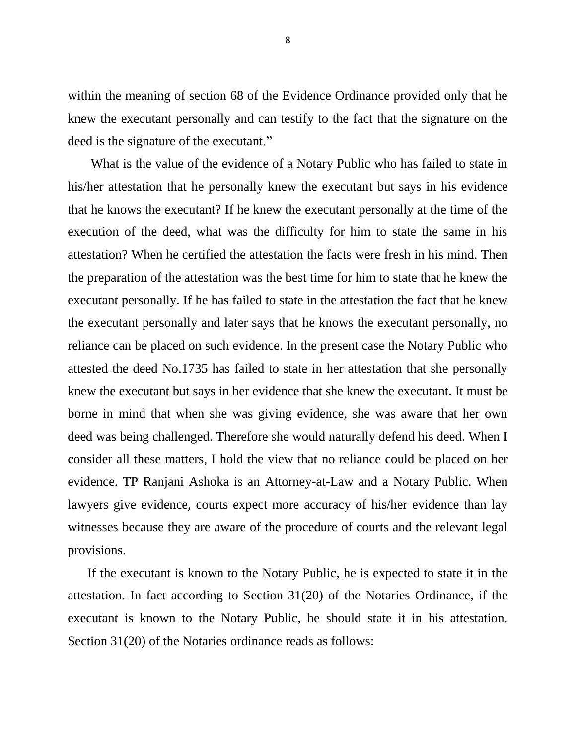within the meaning of section 68 of the Evidence Ordinance provided only that he knew the executant personally and can testify to the fact that the signature on the deed is the signature of the executant."

 What is the value of the evidence of a Notary Public who has failed to state in his/her attestation that he personally knew the executant but says in his evidence that he knows the executant? If he knew the executant personally at the time of the execution of the deed, what was the difficulty for him to state the same in his attestation? When he certified the attestation the facts were fresh in his mind. Then the preparation of the attestation was the best time for him to state that he knew the executant personally. If he has failed to state in the attestation the fact that he knew the executant personally and later says that he knows the executant personally, no reliance can be placed on such evidence. In the present case the Notary Public who attested the deed No.1735 has failed to state in her attestation that she personally knew the executant but says in her evidence that she knew the executant. It must be borne in mind that when she was giving evidence, she was aware that her own deed was being challenged. Therefore she would naturally defend his deed. When I consider all these matters, I hold the view that no reliance could be placed on her evidence. TP Ranjani Ashoka is an Attorney-at-Law and a Notary Public. When lawyers give evidence, courts expect more accuracy of his/her evidence than lay witnesses because they are aware of the procedure of courts and the relevant legal provisions.

 If the executant is known to the Notary Public, he is expected to state it in the attestation. In fact according to Section 31(20) of the Notaries Ordinance, if the executant is known to the Notary Public, he should state it in his attestation. Section 31(20) of the Notaries ordinance reads as follows: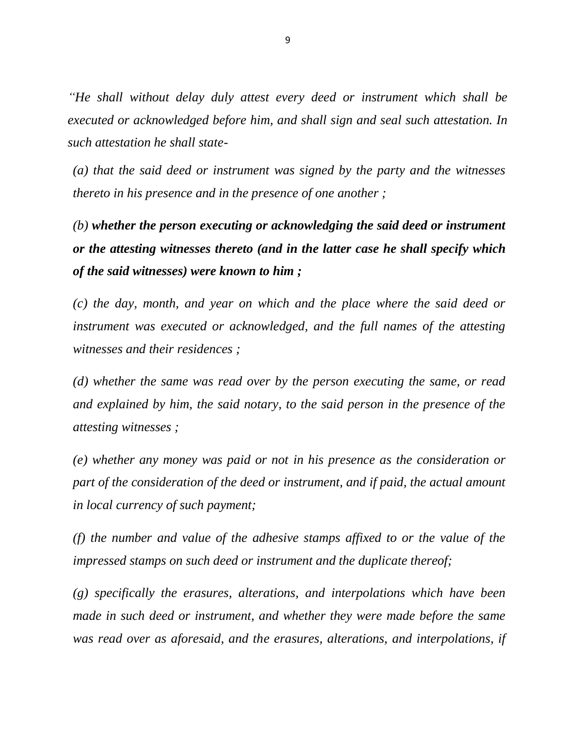*"He shall without delay duly attest every deed or instrument which shall be executed or acknowledged before him, and shall sign and seal such attestation. In such attestation he shall state-*

*(a) that the said deed or instrument was signed by the party and the witnesses thereto in his presence and in the presence of one another ;*

*(b) whether the person executing or acknowledging the said deed or instrument or the attesting witnesses thereto (and in the latter case he shall specify which of the said witnesses) were known to him ;*

*(c) the day, month, and year on which and the place where the said deed or instrument was executed or acknowledged, and the full names of the attesting witnesses and their residences ;*

*(d) whether the same was read over by the person executing the same, or read and explained by him, the said notary, to the said person in the presence of the attesting witnesses ;*

*(e) whether any money was paid or not in his presence as the consideration or part of the consideration of the deed or instrument, and if paid, the actual amount in local currency of such payment;*

*(f) the number and value of the adhesive stamps affixed to or the value of the impressed stamps on such deed or instrument and the duplicate thereof;*

*(g) specifically the erasures, alterations, and interpolations which have been made in such deed or instrument, and whether they were made before the same was read over as aforesaid, and the erasures, alterations, and interpolations, if*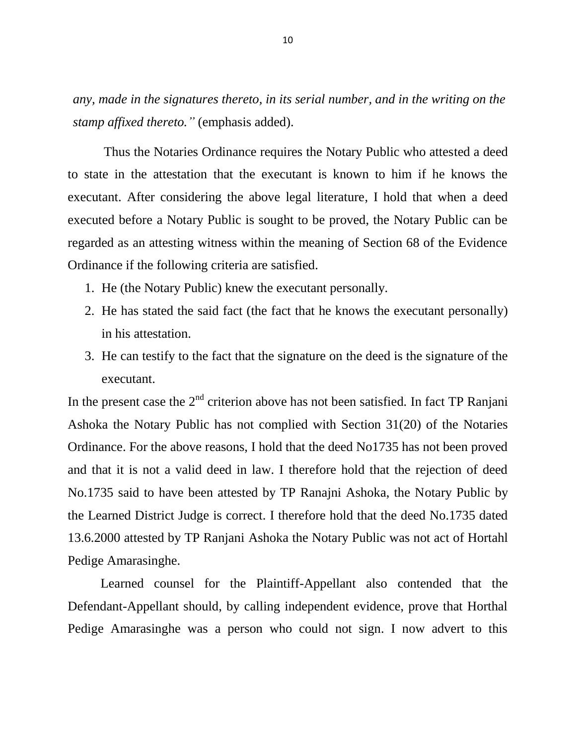*any, made in the signatures thereto, in its serial number, and in the writing on the stamp affixed thereto."* (emphasis added).

 Thus the Notaries Ordinance requires the Notary Public who attested a deed to state in the attestation that the executant is known to him if he knows the executant. After considering the above legal literature, I hold that when a deed executed before a Notary Public is sought to be proved, the Notary Public can be regarded as an attesting witness within the meaning of Section 68 of the Evidence Ordinance if the following criteria are satisfied.

- 1. He (the Notary Public) knew the executant personally.
- 2. He has stated the said fact (the fact that he knows the executant personally) in his attestation.
- 3. He can testify to the fact that the signature on the deed is the signature of the executant.

In the present case the  $2<sup>nd</sup>$  criterion above has not been satisfied. In fact TP Ranjani Ashoka the Notary Public has not complied with Section 31(20) of the Notaries Ordinance. For the above reasons, I hold that the deed No1735 has not been proved and that it is not a valid deed in law. I therefore hold that the rejection of deed No.1735 said to have been attested by TP Ranajni Ashoka, the Notary Public by the Learned District Judge is correct. I therefore hold that the deed No.1735 dated 13.6.2000 attested by TP Ranjani Ashoka the Notary Public was not act of Hortahl Pedige Amarasinghe.

 Learned counsel for the Plaintiff-Appellant also contended that the Defendant-Appellant should, by calling independent evidence, prove that Horthal Pedige Amarasinghe was a person who could not sign. I now advert to this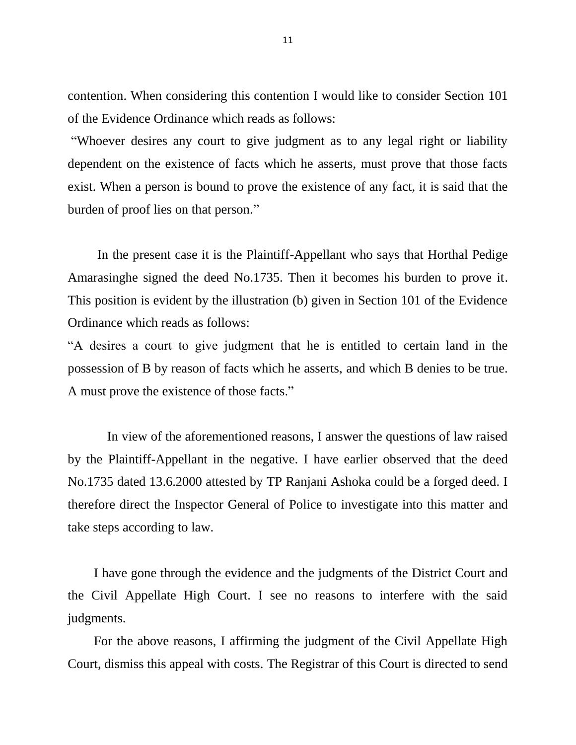contention. When considering this contention I would like to consider Section 101 of the Evidence Ordinance which reads as follows:

"Whoever desires any court to give judgment as to any legal right or liability dependent on the existence of facts which he asserts, must prove that those facts exist. When a person is bound to prove the existence of any fact, it is said that the burden of proof lies on that person."

 In the present case it is the Plaintiff-Appellant who says that Horthal Pedige Amarasinghe signed the deed No.1735. Then it becomes his burden to prove it. This position is evident by the illustration (b) given in Section 101 of the Evidence Ordinance which reads as follows:

"A desires a court to give judgment that he is entitled to certain land in the possession of B by reason of facts which he asserts, and which B denies to be true. A must prove the existence of those facts."

 In view of the aforementioned reasons, I answer the questions of law raised by the Plaintiff-Appellant in the negative. I have earlier observed that the deed No.1735 dated 13.6.2000 attested by TP Ranjani Ashoka could be a forged deed. I therefore direct the Inspector General of Police to investigate into this matter and take steps according to law.

 I have gone through the evidence and the judgments of the District Court and the Civil Appellate High Court. I see no reasons to interfere with the said judgments.

 For the above reasons, I affirming the judgment of the Civil Appellate High Court, dismiss this appeal with costs. The Registrar of this Court is directed to send